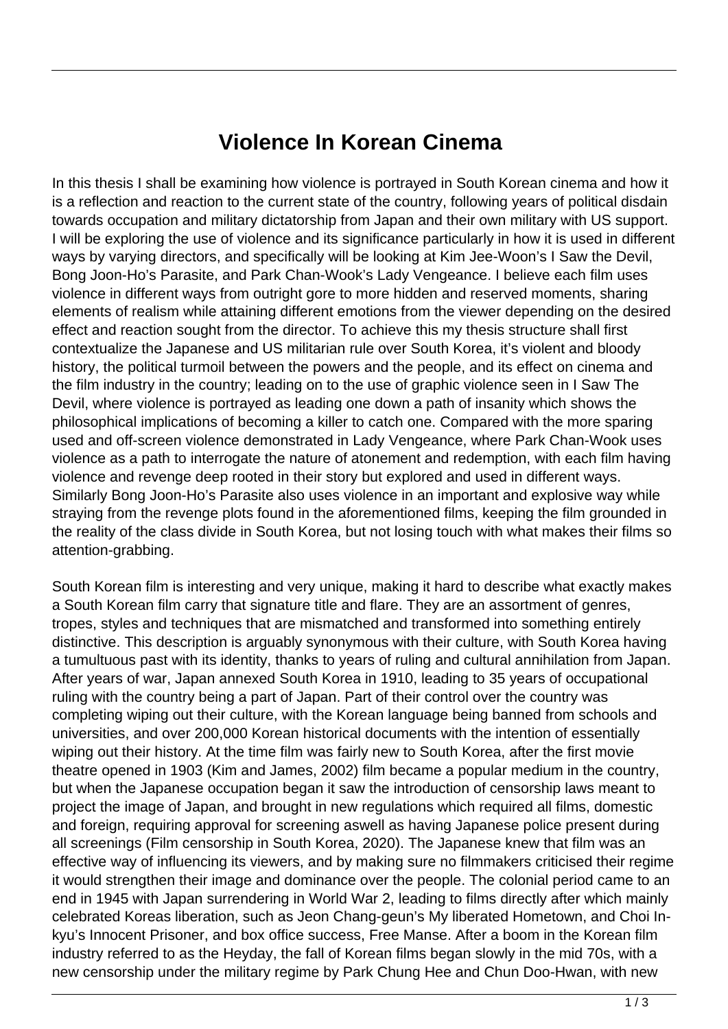## **Violence In Korean Cinema**

In this thesis I shall be examining how violence is portrayed in South Korean cinema and how it is a reflection and reaction to the current state of the country, following years of political disdain towards occupation and military dictatorship from Japan and their own military with US support. I will be exploring the use of violence and its significance particularly in how it is used in different ways by varying directors, and specifically will be looking at Kim Jee-Woon's I Saw the Devil, Bong Joon-Ho's Parasite, and Park Chan-Wook's Lady Vengeance. I believe each film uses violence in different ways from outright gore to more hidden and reserved moments, sharing elements of realism while attaining different emotions from the viewer depending on the desired effect and reaction sought from the director. To achieve this my thesis structure shall first contextualize the Japanese and US militarian rule over South Korea, it's violent and bloody history, the political turmoil between the powers and the people, and its effect on cinema and the film industry in the country; leading on to the use of graphic violence seen in I Saw The Devil, where violence is portrayed as leading one down a path of insanity which shows the philosophical implications of becoming a killer to catch one. Compared with the more sparing used and off-screen violence demonstrated in Lady Vengeance, where Park Chan-Wook uses violence as a path to interrogate the nature of atonement and redemption, with each film having violence and revenge deep rooted in their story but explored and used in different ways. Similarly Bong Joon-Ho's Parasite also uses violence in an important and explosive way while straying from the revenge plots found in the aforementioned films, keeping the film grounded in the reality of the class divide in South Korea, but not losing touch with what makes their films so attention-grabbing.

South Korean film is interesting and very unique, making it hard to describe what exactly makes a South Korean film carry that signature title and flare. They are an assortment of genres, tropes, styles and techniques that are mismatched and transformed into something entirely distinctive. This description is arguably synonymous with their culture, with South Korea having a tumultuous past with its identity, thanks to years of ruling and cultural annihilation from Japan. After years of war, Japan annexed South Korea in 1910, leading to 35 years of occupational ruling with the country being a part of Japan. Part of their control over the country was completing wiping out their culture, with the Korean language being banned from schools and universities, and over 200,000 Korean historical documents with the intention of essentially wiping out their history. At the time film was fairly new to South Korea, after the first movie theatre opened in 1903 (Kim and James, 2002) film became a popular medium in the country, but when the Japanese occupation began it saw the introduction of censorship laws meant to project the image of Japan, and brought in new regulations which required all films, domestic and foreign, requiring approval for screening aswell as having Japanese police present during all screenings (Film censorship in South Korea, 2020). The Japanese knew that film was an effective way of influencing its viewers, and by making sure no filmmakers criticised their regime it would strengthen their image and dominance over the people. The colonial period came to an end in 1945 with Japan surrendering in World War 2, leading to films directly after which mainly celebrated Koreas liberation, such as Jeon Chang-geun's My liberated Hometown, and Choi Inkyu's Innocent Prisoner, and box office success, Free Manse. After a boom in the Korean film industry referred to as the Heyday, the fall of Korean films began slowly in the mid 70s, with a new censorship under the military regime by Park Chung Hee and Chun Doo-Hwan, with new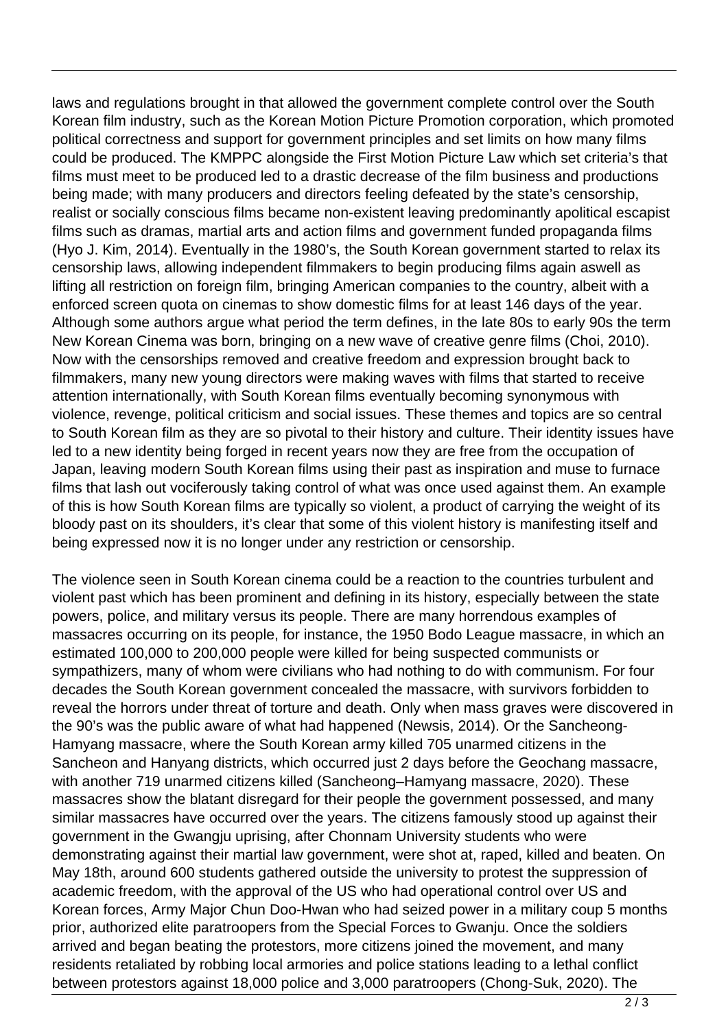laws and regulations brought in that allowed the government complete control over the South Korean film industry, such as the Korean Motion Picture Promotion corporation, which promoted political correctness and support for government principles and set limits on how many films could be produced. The KMPPC alongside the First Motion Picture Law which set criteria's that films must meet to be produced led to a drastic decrease of the film business and productions being made; with many producers and directors feeling defeated by the state's censorship, realist or socially conscious films became non-existent leaving predominantly apolitical escapist films such as dramas, martial arts and action films and government funded propaganda films (Hyo J. Kim, 2014). Eventually in the 1980's, the South Korean government started to relax its censorship laws, allowing independent filmmakers to begin producing films again aswell as lifting all restriction on foreign film, bringing American companies to the country, albeit with a enforced screen quota on cinemas to show domestic films for at least 146 days of the year. Although some authors argue what period the term defines, in the late 80s to early 90s the term New Korean Cinema was born, bringing on a new wave of creative genre films (Choi, 2010). Now with the censorships removed and creative freedom and expression brought back to filmmakers, many new young directors were making waves with films that started to receive attention internationally, with South Korean films eventually becoming synonymous with violence, revenge, political criticism and social issues. These themes and topics are so central to South Korean film as they are so pivotal to their history and culture. Their identity issues have led to a new identity being forged in recent years now they are free from the occupation of Japan, leaving modern South Korean films using their past as inspiration and muse to furnace films that lash out vociferously taking control of what was once used against them. An example of this is how South Korean films are typically so violent, a product of carrying the weight of its bloody past on its shoulders, it's clear that some of this violent history is manifesting itself and being expressed now it is no longer under any restriction or censorship.

The violence seen in South Korean cinema could be a reaction to the countries turbulent and violent past which has been prominent and defining in its history, especially between the state powers, police, and military versus its people. There are many horrendous examples of massacres occurring on its people, for instance, the 1950 Bodo League massacre, in which an estimated 100,000 to 200,000 people were killed for being suspected communists or sympathizers, many of whom were civilians who had nothing to do with communism. For four decades the South Korean government concealed the massacre, with survivors forbidden to reveal the horrors under threat of torture and death. Only when mass graves were discovered in the 90's was the public aware of what had happened (Newsis, 2014). Or the Sancheong-Hamyang massacre, where the South Korean army killed 705 unarmed citizens in the Sancheon and Hanyang districts, which occurred just 2 days before the Geochang massacre, with another 719 unarmed citizens killed (Sancheong–Hamyang massacre, 2020). These massacres show the blatant disregard for their people the government possessed, and many similar massacres have occurred over the years. The citizens famously stood up against their government in the Gwangju uprising, after Chonnam University students who were demonstrating against their martial law government, were shot at, raped, killed and beaten. On May 18th, around 600 students gathered outside the university to protest the suppression of academic freedom, with the approval of the US who had operational control over US and Korean forces, Army Major Chun Doo-Hwan who had seized power in a military coup 5 months prior, authorized elite paratroopers from the Special Forces to Gwanju. Once the soldiers arrived and began beating the protestors, more citizens joined the movement, and many residents retaliated by robbing local armories and police stations leading to a lethal conflict between protestors against 18,000 police and 3,000 paratroopers (Chong-Suk, 2020). The